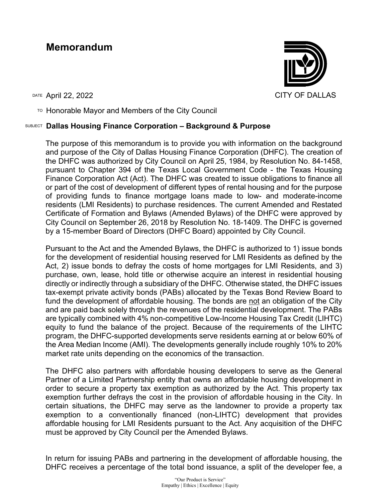## **Memorandum**



TO Honorable Mayor and Members of the City Council

## SUBJECT **Dallas Housing Finance Corporation – Background & Purpose**

The purpose of this memorandum is to provide you with information on the background and purpose of the City of Dallas Housing Finance Corporation (DHFC). The creation of the DHFC was authorized by City Council on April 25, 1984, by Resolution No. 84-1458, pursuant to Chapter 394 of the Texas Local Government Code - the Texas Housing Finance Corporation Act (Act). The DHFC was created to issue obligations to finance all or part of the cost of development of different types of rental housing and for the purpose of providing funds to finance mortgage loans made to low- and moderate-income residents (LMI Residents) to purchase residences. The current Amended and Restated Certificate of Formation and Bylaws (Amended Bylaws) of the DHFC were approved by City Council on September 26, 2018 by Resolution No. 18-1409. The DHFC is governed by a 15-member Board of Directors (DHFC Board) appointed by City Council.

Pursuant to the Act and the Amended Bylaws, the DHFC is authorized to 1) issue bonds for the development of residential housing reserved for LMI Residents as defined by the Act, 2) issue bonds to defray the costs of home mortgages for LMI Residents, and 3) purchase, own, lease, hold title or otherwise acquire an interest in residential housing directly or indirectly through a subsidiary of the DHFC. Otherwise stated, the DHFC issues tax-exempt private activity bonds (PABs) allocated by the Texas Bond Review Board to fund the development of affordable housing. The bonds are not an obligation of the City and are paid back solely through the revenues of the residential development. The PABs are typically combined with 4% non-competitive Low-Income Housing Tax Credit (LIHTC) equity to fund the balance of the project. Because of the requirements of the LIHTC program, the DHFC-supported developments serve residents earning at or below 60% of the Area Median Income (AMI). The developments generally include roughly 10% to 20% market rate units depending on the economics of the transaction.

The DHFC also partners with affordable housing developers to serve as the General Partner of a Limited Partnership entity that owns an affordable housing development in order to secure a property tax exemption as authorized by the Act. This property tax exemption further defrays the cost in the provision of affordable housing in the City. In certain situations, the DHFC may serve as the landowner to provide a property tax exemption to a conventionally financed (non-LIHTC) development that provides affordable housing for LMI Residents pursuant to the Act. Any acquisition of the DHFC must be approved by City Council per the Amended Bylaws.

In return for issuing PABs and partnering in the development of affordable housing, the DHFC receives a percentage of the total bond issuance, a split of the developer fee, a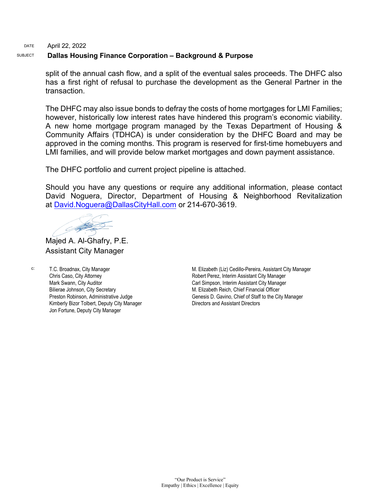## DATE April 22, 2022

## SUBJECT **Dallas Housing Finance Corporation – Background & Purpose**

split of the annual cash flow, and a split of the eventual sales proceeds. The DHFC also has a first right of refusal to purchase the development as the General Partner in the transaction.

The DHFC may also issue bonds to defray the costs of home mortgages for LMI Families; however, historically low interest rates have hindered this program's economic viability. A new home mortgage program managed by the Texas Department of Housing & Community Affairs (TDHCA) is under consideration by the DHFC Board and may be approved in the coming months. This program is reserved for first-time homebuyers and LMI families, and will provide below market mortgages and down payment assistance.

The DHFC portfolio and current project pipeline is attached.

Should you have any questions or require any additional information, please contact David Noguera, Director, Department of Housing & Neighborhood Revitalization at [David.Noguera@DallasCityHall.com](mailto:David.Noguera@DallasCityHall.com) or 214-670-3619.

O PATRO

Majed A. Al-Ghafry, P.E. Assistant City Manager

c: T.C. Broadnax, City Manager Chris Caso, City Attorney Mark Swann, City Auditor Bilierae Johnson, City Secretary Preston Robinson, Administrative Judge Kimberly Bizor Tolbert, Deputy City Manager Jon Fortune, Deputy City Manager

M. Elizabeth (Liz) Cedillo-Pereira, Assistant City Manager Robert Perez, Interim Assistant City Manager Carl Simpson, Interim Assistant City Manager M. Elizabeth Reich, Chief Financial Officer Genesis D. Gavino, Chief of Staff to the City Manager Directors and Assistant Directors